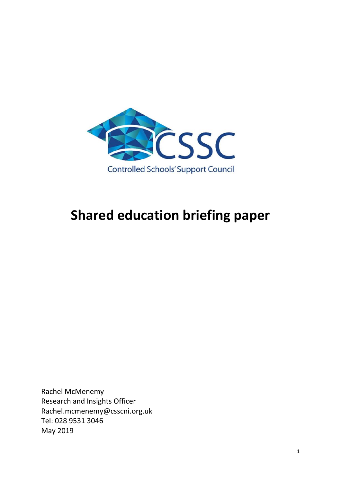

# **Shared education briefing paper**

Rachel McMenemy Research and Insights Officer Rachel.mcmenemy@csscni.org.uk Tel: 028 9531 3046 May 2019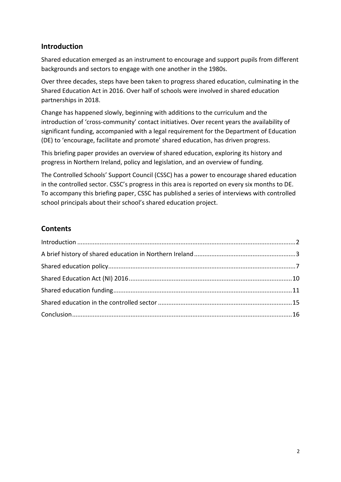# <span id="page-1-0"></span>**Introduction**

Shared education emerged as an instrument to encourage and support pupils from different backgrounds and sectors to engage with one another in the 1980s.

Over three decades, steps have been taken to progress shared education, culminating in the Shared Education Act in 2016. Over half of schools were involved in shared education partnerships in 2018.

Change has happened slowly, beginning with additions to the curriculum and the introduction of 'cross-community' contact initiatives. Over recent years the availability of significant funding, accompanied with a legal requirement for the Department of Education (DE) to 'encourage, facilitate and promote' shared education, has driven progress.

This briefing paper provides an overview of shared education, exploring its history and progress in Northern Ireland, policy and legislation, and an overview of funding.

The Controlled Schools' Support Council (CSSC) has a power to encourage shared education in the controlled sector. CSSC's progress in this area is reported on every six months to DE. To accompany this briefing paper, CSSC has published a series of interviews with controlled school principals about their school's shared education project.

# **Contents**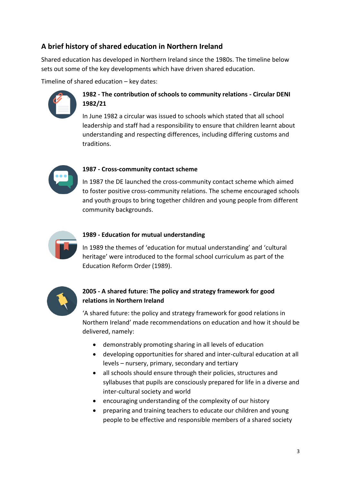# <span id="page-2-0"></span>**A brief history of shared education in Northern Ireland**

Shared education has developed in Northern Ireland since the 1980s. The timeline below sets out some of the key developments which have driven shared education.

Timeline of shared education – key dates:



# **1982 - The contribution of schools to community relations - Circular DENI 1982/21**

In June 1982 a circular was issued to schools which stated that all school leadership and staff had a responsibility to ensure that children learnt about understanding and respecting differences, including differing customs and traditions.



## **1987 - Cross-community contact scheme**

In 1987 the DE launched the cross-community contact scheme which aimed to foster positive cross-community relations. The scheme encouraged schools and youth groups to bring together children and young people from different community backgrounds.



## **1989 - Education for mutual understanding**

In 1989 the themes of 'education for mutual understanding' and 'cultural heritage' were introduced to the formal school curriculum as part of the Education Reform Order (1989).



## **2005 - A shared future: The policy and strategy framework for good relations in Northern Ireland**

'A shared future: the policy and strategy framework for good relations in Northern Ireland' made recommendations on education and how it should be delivered, namely:

- demonstrably promoting sharing in all levels of education
- developing opportunities for shared and inter-cultural education at all levels – nursery, primary, secondary and tertiary
- all schools should ensure through their policies, structures and syllabuses that pupils are consciously prepared for life in a diverse and inter-cultural society and world
- encouraging understanding of the complexity of our history
- preparing and training teachers to educate our children and young people to be effective and responsible members of a shared society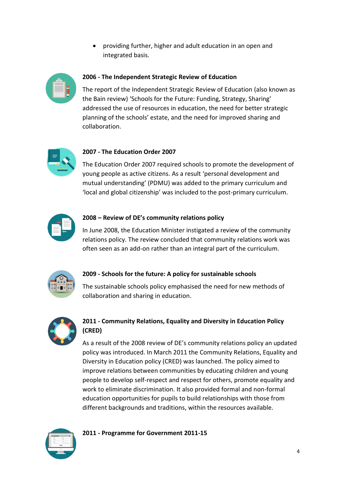providing further, higher and adult education in an open and integrated basis.



### **2006 - The Independent Strategic Review of Education**

The report of the Independent Strategic Review of Education (also known as the Bain review) 'Schools for the Future: Funding, Strategy, Sharing' addressed the use of resources in education, the need for better strategic planning of the schools' estate, and the need for improved sharing and collaboration.



#### **2007 - The Education Order 2007**

The Education Order 2007 required schools to promote the development of young people as active citizens. As a result 'personal development and mutual understanding' (PDMU) was added to the primary curriculum and 'local and global citizenship' was included to the post-primary curriculum.



#### **2008 – Review of DE's community relations policy**

In June 2008, the Education Minister instigated a review of the community relations policy. The review concluded that community relations work was often seen as an add-on rather than an integral part of the curriculum.



## **2009 - Schools for the future: A policy for sustainable schools**

The sustainable schools policy emphasised the need for new methods of collaboration and sharing in education.



# **2011 - Community Relations, Equality and Diversity in Education Policy (CRED)**

As a result of the 2008 review of DE's community relations policy an updated policy was introduced. In March 2011 the Community Relations, Equality and Diversity in Education policy (CRED) was launched. The policy aimed to improve relations between communities by educating children and young people to develop self-respect and respect for others, promote equality and work to eliminate discrimination. It also provided formal and non-formal education opportunities for pupils to build relationships with those from different backgrounds and traditions, within the resources available.



**2011 - Programme for Government 2011-15**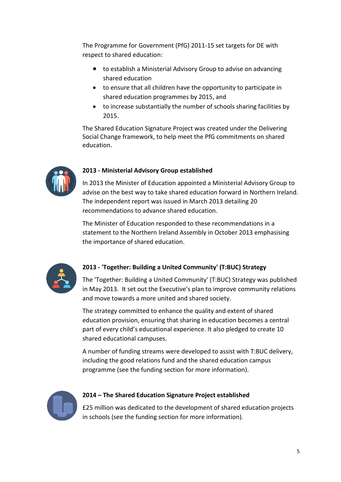The Programme for Government (PfG) 2011-15 set targets for DE with respect to shared education:

- to establish a Ministerial Advisory Group to advise on advancing shared education
- to ensure that all children have the opportunity to participate in shared education programmes by 2015, and
- to increase substantially the number of schools sharing facilities by 2015.

The Shared Education Signature Project was created under the Delivering Social Change framework, to help meet the PfG commitments on shared education.



#### **2013 - Ministerial Advisory Group established**

In 2013 the Minister of Education appointed a Ministerial Advisory Group to advise on the best way to take shared education forward in Northern Ireland. The independent report was issued in March 2013 detailing 20 recommendations to advance shared education.

The Minister of Education responded to these recommendations in a statement to the Northern Ireland Assembly in October 2013 emphasising the importance of shared education.



## **2013 - 'Together: Building a United Community' (T:BUC) Strategy**

The 'Together: Building a United Community' (T:BUC) Strategy was published in May 2013. It set out the Executive's plan to improve community relations and move towards a more united and shared society.

The strategy committed to enhance the quality and extent of shared education provision, ensuring that sharing in education becomes a central part of every child's educational experience. It also pledged to create 10 shared educational campuses.

A number of funding streams were developed to assist with T:BUC delivery, including the good relations fund and the shared education campus programme (see the funding section for more information).



#### **2014 – The Shared Education Signature Project established**

£25 million was dedicated to the development of shared education projects in schools (see the funding section for more information).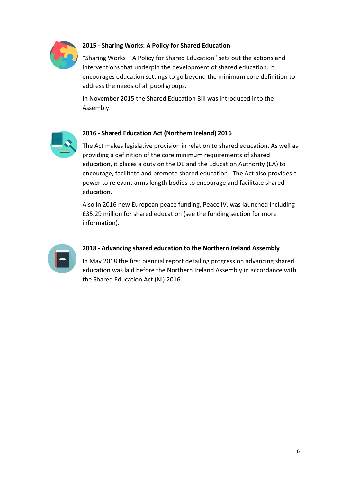

# **2015 - Sharing Works: A Policy for Shared Education**

"Sharing Works – A Policy for Shared Education" sets out the actions and interventions that underpin the development of shared education. It encourages education settings to go beyond the minimum core definition to address the needs of all pupil groups.

In November 2015 the Shared Education Bill was introduced into the Assembly.



#### **2016 - Shared Education Act (Northern Ireland) 2016**

The Act makes legislative provision in relation to shared education. As well as providing a definition of the core minimum requirements of shared education, it places a duty on the DE and the Education Authority (EA) to encourage, facilitate and promote shared education. The Act also provides a power to relevant arms length bodies to encourage and facilitate shared education.

Also in 2016 new European peace funding, Peace IV, was launched including £35.29 million for shared education (see the funding section for more information).



#### **2018 - Advancing shared education to the Northern Ireland Assembly**

In May 2018 the first biennial report detailing progress on advancing shared education was laid before the Northern Ireland Assembly in accordance with the Shared Education Act (NI) 2016.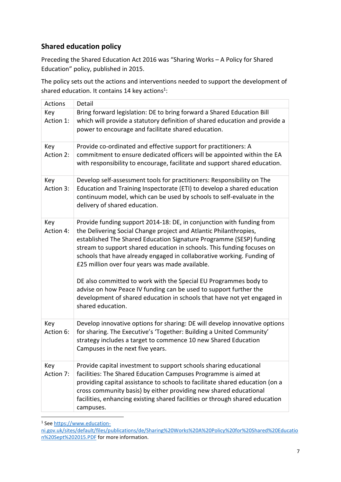# <span id="page-6-0"></span>**Shared education policy**

Preceding the Shared Education Act 2016 was "Sharing Works – A Policy for Shared Education" policy, published in 2015.

The policy sets out the actions and interventions needed to support the development of shared education. It contains 14 key actions<sup>1</sup>:

| <b>Actions</b>   | Detail                                                                                                                                                                                                                                                                                                                                                                                                                                                                                                                                                                                                                                                            |
|------------------|-------------------------------------------------------------------------------------------------------------------------------------------------------------------------------------------------------------------------------------------------------------------------------------------------------------------------------------------------------------------------------------------------------------------------------------------------------------------------------------------------------------------------------------------------------------------------------------------------------------------------------------------------------------------|
| Key<br>Action 1: | Bring forward legislation: DE to bring forward a Shared Education Bill<br>which will provide a statutory definition of shared education and provide a<br>power to encourage and facilitate shared education.                                                                                                                                                                                                                                                                                                                                                                                                                                                      |
| Key<br>Action 2: | Provide co-ordinated and effective support for practitioners: A<br>commitment to ensure dedicated officers will be appointed within the EA<br>with responsibility to encourage, facilitate and support shared education.                                                                                                                                                                                                                                                                                                                                                                                                                                          |
| Key<br>Action 3: | Develop self-assessment tools for practitioners: Responsibility on The<br>Education and Training Inspectorate (ETI) to develop a shared education<br>continuum model, which can be used by schools to self-evaluate in the<br>delivery of shared education.                                                                                                                                                                                                                                                                                                                                                                                                       |
| Key<br>Action 4: | Provide funding support 2014-18: DE, in conjunction with funding from<br>the Delivering Social Change project and Atlantic Philanthropies,<br>established The Shared Education Signature Programme (SESP) funding<br>stream to support shared education in schools. This funding focuses on<br>schools that have already engaged in collaborative working. Funding of<br>£25 million over four years was made available.<br>DE also committed to work with the Special EU Programmes body to<br>advise on how Peace IV funding can be used to support further the<br>development of shared education in schools that have not yet engaged in<br>shared education. |
| Key<br>Action 6: | Develop innovative options for sharing: DE will develop innovative options<br>for sharing. The Executive's 'Together: Building a United Community'<br>strategy includes a target to commence 10 new Shared Education<br>Campuses in the next five years.                                                                                                                                                                                                                                                                                                                                                                                                          |
| Key<br>Action 7: | Provide capital investment to support schools sharing educational<br>facilities: The Shared Education Campuses Programme is aimed at<br>providing capital assistance to schools to facilitate shared education (on a<br>cross community basis) by either providing new shared educational<br>facilities, enhancing existing shared facilities or through shared education<br>campuses.                                                                                                                                                                                                                                                                            |

<sup>&</sup>lt;sup>1</sup> See [https://www.education-](https://www.education-ni.gov.uk/sites/default/files/publications/de/Sharing%20Works%20A%20Policy%20for%20Shared%20Education%20Sept%202015.PDF)

[ni.gov.uk/sites/default/files/publications/de/Sharing%20Works%20A%20Policy%20for%20Shared%20Educatio](https://www.education-ni.gov.uk/sites/default/files/publications/de/Sharing%20Works%20A%20Policy%20for%20Shared%20Education%20Sept%202015.PDF) [n%20Sept%202015.PDF](https://www.education-ni.gov.uk/sites/default/files/publications/de/Sharing%20Works%20A%20Policy%20for%20Shared%20Education%20Sept%202015.PDF) for more information.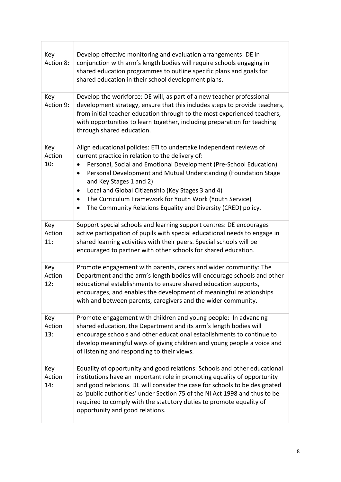| Key<br>Action 8:     | Develop effective monitoring and evaluation arrangements: DE in<br>conjunction with arm's length bodies will require schools engaging in<br>shared education programmes to outline specific plans and goals for<br>shared education in their school development plans.                                                                                                                                                                                                                                |
|----------------------|-------------------------------------------------------------------------------------------------------------------------------------------------------------------------------------------------------------------------------------------------------------------------------------------------------------------------------------------------------------------------------------------------------------------------------------------------------------------------------------------------------|
| Key<br>Action 9:     | Develop the workforce: DE will, as part of a new teacher professional<br>development strategy, ensure that this includes steps to provide teachers,<br>from initial teacher education through to the most experienced teachers,<br>with opportunities to learn together, including preparation for teaching<br>through shared education.                                                                                                                                                              |
| Key<br>Action<br>10: | Align educational policies: ETI to undertake independent reviews of<br>current practice in relation to the delivery of:<br>Personal, Social and Emotional Development (Pre-School Education)<br>Personal Development and Mutual Understanding (Foundation Stage<br>$\bullet$<br>and Key Stages 1 and 2)<br>Local and Global Citizenship (Key Stages 3 and 4)<br>$\bullet$<br>The Curriculum Framework for Youth Work (Youth Service)<br>The Community Relations Equality and Diversity (CRED) policy. |
| Key<br>Action<br>11: | Support special schools and learning support centres: DE encourages<br>active participation of pupils with special educational needs to engage in<br>shared learning activities with their peers. Special schools will be<br>encouraged to partner with other schools for shared education.                                                                                                                                                                                                           |
| Key<br>Action<br>12: | Promote engagement with parents, carers and wider community: The<br>Department and the arm's length bodies will encourage schools and other<br>educational establishments to ensure shared education supports,<br>encourages, and enables the development of meaningful relationships<br>with and between parents, caregivers and the wider community.                                                                                                                                                |
| Key<br>Action<br>13: | Promote engagement with children and young people: In advancing<br>shared education, the Department and its arm's length bodies will<br>encourage schools and other educational establishments to continue to<br>develop meaningful ways of giving children and young people a voice and<br>of listening and responding to their views.                                                                                                                                                               |
| Key<br>Action<br>14: | Equality of opportunity and good relations: Schools and other educational<br>institutions have an important role in promoting equality of opportunity<br>and good relations. DE will consider the case for schools to be designated<br>as 'public authorities' under Section 75 of the NI Act 1998 and thus to be<br>required to comply with the statutory duties to promote equality of<br>opportunity and good relations.                                                                           |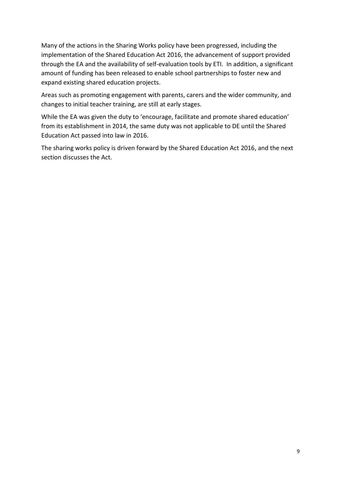Many of the actions in the Sharing Works policy have been progressed, including the implementation of the Shared Education Act 2016, the advancement of support provided through the EA and the availability of self-evaluation tools by ETI. In addition, a significant amount of funding has been released to enable school partnerships to foster new and expand existing shared education projects.

Areas such as promoting engagement with parents, carers and the wider community, and changes to initial teacher training, are still at early stages.

While the EA was given the duty to 'encourage, facilitate and promote shared education' from its establishment in 2014, the same duty was not applicable to DE until the Shared Education Act passed into law in 2016.

The sharing works policy is driven forward by the Shared Education Act 2016, and the next section discusses the Act.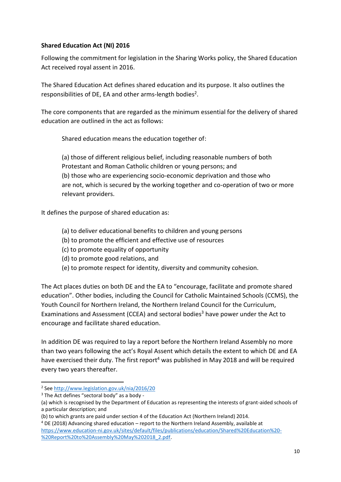### <span id="page-9-0"></span>**Shared Education Act (NI) 2016**

Following the commitment for legislation in the Sharing Works policy, the Shared Education Act received royal assent in 2016.

The Shared Education Act defines shared education and its purpose. It also outlines the responsibilities of DE, EA and other arms-length bodies<sup>2</sup>.

The core components that are regarded as the minimum essential for the delivery of shared education are outlined in the act as follows:

Shared education means the education together of:

(a) those of different religious belief, including reasonable numbers of both Protestant and Roman Catholic children or young persons; and (b) those who are experiencing socio-economic deprivation and those who are not, which is secured by the working together and co-operation of two or more relevant providers.

It defines the purpose of shared education as:

- (a) to deliver educational benefits to children and young persons
- (b) to promote the efficient and effective use of resources
- (c) to promote equality of opportunity
- (d) to promote good relations, and
- (e) to promote respect for identity, diversity and community cohesion.

The Act places duties on both DE and the EA to "encourage, facilitate and promote shared education". Other bodies, including the Council for Catholic Maintained Schools (CCMS), the Youth Council for Northern Ireland, the Northern Ireland Council for the Curriculum, Examinations and Assessment (CCEA) and sectoral bodies<sup>3</sup> have power under the Act to encourage and facilitate shared education.

In addition DE was required to lay a report before the Northern Ireland Assembly no more than two years following the act's Royal Assent which details the extent to which DE and EA have exercised their duty. The first report<sup>4</sup> was published in May 2018 and will be required every two years thereafter.

1

<sup>&</sup>lt;sup>2</sup> See<http://www.legislation.gov.uk/nia/2016/20>

 $3$  The Act defines "sectoral body" as a body -

<sup>(</sup>a) which is recognised by the Department of Education as representing the interests of grant-aided schools of a particular description; and

<sup>(</sup>b) to which grants are paid under section 4 of the Education Act (Northern Ireland) 2014.

<sup>4</sup> DE (2018) Advancing shared education – report to the Northern Ireland Assembly, available at [https://www.education-ni.gov.uk/sites/default/files/publications/education/Shared%20Education%20-](https://www.education-ni.gov.uk/sites/default/files/publications/education/Shared%20Education%20-%20Report%20to%20Assembly%20May%202018_2.pdf) [%20Report%20to%20Assembly%20May%202018\\_2.pdf.](https://www.education-ni.gov.uk/sites/default/files/publications/education/Shared%20Education%20-%20Report%20to%20Assembly%20May%202018_2.pdf)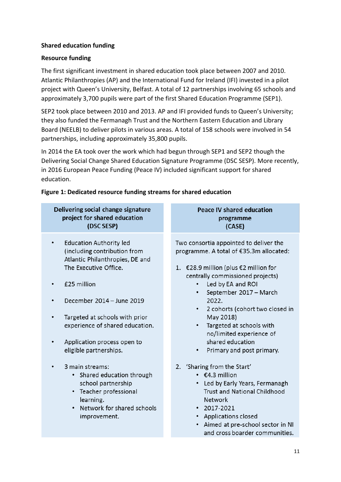### <span id="page-10-0"></span>**Shared education funding**

#### **Resource funding**

The first significant investment in shared education took place between 2007 and 2010. Atlantic Philanthropies (AP) and the International Fund for Ireland (IFI) invested in a pilot project with Queen's University, Belfast. A total of 12 partnerships involving 65 schools and approximately 3,700 pupils were part of the first Shared Education Programme (SEP1).

SEP2 took place between 2010 and 2013. AP and IFI provided funds to Queen's University; they also funded the Fermanagh Trust and the Northern Eastern Education and Library Board (NEELB) to deliver pilots in various areas. A total of 158 schools were involved in 54 partnerships, including approximately 35,800 pupils.

In 2014 the EA took over the work which had begun through SEP1 and SEP2 though the Delivering Social Change Shared Education Signature Programme (DSC SESP). More recently, in 2016 European Peace Funding (Peace IV) included significant support for shared education.

#### **Figure 1: Dedicated resource funding streams for shared education**

| Delivering social change signature<br>project for shared education<br>(DSC SESP)                  | <b>Peace IV shared education</b><br>programme<br>(CASE)                           |
|---------------------------------------------------------------------------------------------------|-----------------------------------------------------------------------------------|
| <b>Education Authority led</b><br>(including contribution from<br>Atlantic Philanthropies, DE and | Two consortia appointed to deliver the<br>programme. A total of €35.3m allocated: |
| The Executive Office.                                                                             | 1. €28.9 million (plus €2 million for<br>centrally commissioned projects)         |
| £25 million                                                                                       | Led by EA and ROI<br>September 2017 - March                                       |
| December 2014 - June 2019                                                                         | 2022.<br>2 cohorts (cohort two closed in<br>٠                                     |
| Targeted at schools with prior                                                                    | May 2018)                                                                         |
| experience of shared education.                                                                   | Targeted at schools with<br>$\bullet$<br>no/limited experience of                 |
| Application process open to                                                                       | shared education                                                                  |
| eligible partnerships.                                                                            | Primary and post primary.<br>$\bullet$                                            |
| 3 main streams:                                                                                   | 2. 'Sharing from the Start'                                                       |
| • Shared education through                                                                        | $\cdot$ $\in$ 4.3 million                                                         |
| school partnership                                                                                | • Led by Early Years, Fermanagh                                                   |
| • Teacher professional                                                                            | <b>Trust and National Childhood</b>                                               |
| learning.                                                                                         | <b>Network</b>                                                                    |
| • Network for shared schools                                                                      | $\cdot$ 2017-2021                                                                 |
| improvement.                                                                                      | • Applications closed                                                             |
|                                                                                                   | • Aimed at pre-school sector in NI                                                |
|                                                                                                   | and cross boarder communities.                                                    |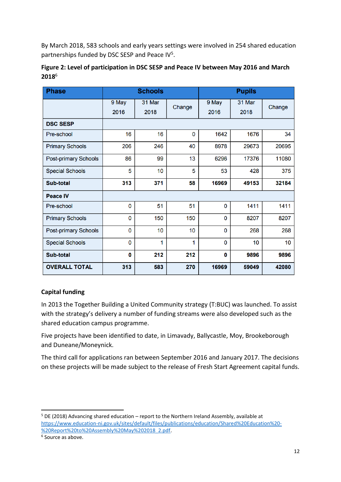By March 2018, 583 schools and early years settings were involved in 254 shared education partnerships funded by DSC SESP and Peace IV<sup>5</sup>.

| <b>Phase</b>           | <b>Schools</b> |        |                 | <b>Pupils</b> |        |        |
|------------------------|----------------|--------|-----------------|---------------|--------|--------|
|                        | 9 May          | 31 Mar | Change          | 9 May         | 31 Mar | Change |
|                        | 2016           | 2018   |                 | 2016          | 2018   |        |
| <b>DSC SESP</b>        |                |        |                 |               |        |        |
| Pre-school             | 16             | 16     | 0               | 1642          | 1676   | 34     |
| <b>Primary Schools</b> | 206            | 246    | 40              | 8978          | 29673  | 20695  |
| Post-primary Schools   | 86             | 99     | 13              | 6296          | 17376  | 11080  |
| <b>Special Schools</b> | 5              | 10     | 5               | 53            | 428    | 375    |
| <b>Sub-total</b>       | 313            | 371    | 58              | 16969         | 49153  | 32184  |
| <b>Peace IV</b>        |                |        |                 |               |        |        |
| Pre-school             | 0              | 51     | 51              | $\bf{0}$      | 1411   | 1411   |
| <b>Primary Schools</b> | 0              | 150    | 150             | $\mathbf{0}$  | 8207   | 8207   |
| Post-primary Schools   | 0              | 10     | 10 <sup>1</sup> | $\mathbf 0$   | 268    | 268    |
| <b>Special Schools</b> | 0              | 1      | 1               | $\mathbf 0$   | 10     | 10     |

| Figure 2: Level of participation in DSC SESP and Peace IV between May 2016 and March |  |
|--------------------------------------------------------------------------------------|--|
| $2018^6$                                                                             |  |

## **Capital funding**

**OVERALL TOTAL** 

**Sub-total** 

In 2013 the Together Building a United Community strategy (T:BUC) was launched. To assist with the strategy's delivery a number of funding streams were also developed such as the shared education campus programme.

212

583

212

270

 $\mathbf 0$ 

313

Five projects have been identified to date, in Limavady, Ballycastle, Moy, Brookeborough and Duneane/Moneynick.

The third call for applications ran between September 2016 and January 2017. The decisions on these projects will be made subject to the release of Fresh Start Agreement capital funds.

**.** 

9896

59049

 $\mathbf{0}$ 

16969

9896

42080

<sup>5</sup> DE (2018) Advancing shared education – report to the Northern Ireland Assembly, available at [https://www.education-ni.gov.uk/sites/default/files/publications/education/Shared%20Education%20-](https://www.education-ni.gov.uk/sites/default/files/publications/education/Shared%20Education%20-%20Report%20to%20Assembly%20May%202018_2.pdf) [%20Report%20to%20Assembly%20May%202018\\_2.pdf.](https://www.education-ni.gov.uk/sites/default/files/publications/education/Shared%20Education%20-%20Report%20to%20Assembly%20May%202018_2.pdf)

<sup>6</sup> Source as above.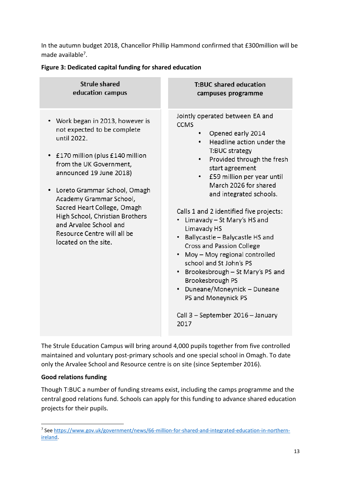In the autumn budget 2018, Chancellor Phillip Hammond confirmed that £300million will be made available<sup>7</sup>.

#### **Figure 3: Dedicated capital funding for shared education**

| <b>Strule shared</b>                                                                                                                                                                                                                                                                                                                                                                               | <b>T:BUC shared education</b>                                                                                                                                                                                                                                                                                                                                                                                                                                                                                                                                                                                                                           |
|----------------------------------------------------------------------------------------------------------------------------------------------------------------------------------------------------------------------------------------------------------------------------------------------------------------------------------------------------------------------------------------------------|---------------------------------------------------------------------------------------------------------------------------------------------------------------------------------------------------------------------------------------------------------------------------------------------------------------------------------------------------------------------------------------------------------------------------------------------------------------------------------------------------------------------------------------------------------------------------------------------------------------------------------------------------------|
| education campus                                                                                                                                                                                                                                                                                                                                                                                   | campuses programme                                                                                                                                                                                                                                                                                                                                                                                                                                                                                                                                                                                                                                      |
| Work began in 2013, however is<br>٠<br>not expected to be complete<br>until 2022.<br>£170 million (plus £140 million<br>٠<br>from the UK Government,<br>announced 19 June 2018)<br>Loreto Grammar School, Omagh<br>٠<br>Academy Grammar School,<br>Sacred Heart College, Omagh<br>High School, Christian Brothers<br>and Arvalee School and<br>Resource Centre will all be<br>located on the site. | Jointly operated between EA and<br><b>CCMS</b><br>Opened early 2014<br>Headline action under the<br>T:BUC strategy<br>Provided through the fresh<br>٠<br>start agreement<br>£59 million per year until<br>March 2026 for shared<br>and integrated schools.<br>Calls 1 and 2 identified five projects:<br>Limavady - St Mary's HS and<br>٠<br>Limavady HS<br>• Ballycastle - Balycastle HS and<br>Cross and Passion College<br>• Moy - Moy regional controlled<br>school and St John's PS<br>• Brookesbrough - St Mary's PS and<br>Brookesbrough PS<br>• Duneane/Moneynick - Duneane<br>PS and Moneynick PS<br>Call 3 - September 2016 - January<br>2017 |

The Strule Education Campus will bring around 4,000 pupils together from five controlled maintained and voluntary post-primary schools and one special school in Omagh. To date only the Arvalee School and Resource centre is on site (since September 2016).

#### **Good relations funding**

Though T:BUC a number of funding streams exist, including the camps programme and the central good relations fund. Schools can apply for this funding to advance shared education projects for their pupils.

**<sup>.</sup>** <sup>7</sup> See [https://www.gov.uk/government/news/66-million-for-shared-and-integrated-education-in-northern](https://www.gov.uk/government/news/66-million-for-shared-and-integrated-education-in-northern-ireland)[ireland.](https://www.gov.uk/government/news/66-million-for-shared-and-integrated-education-in-northern-ireland)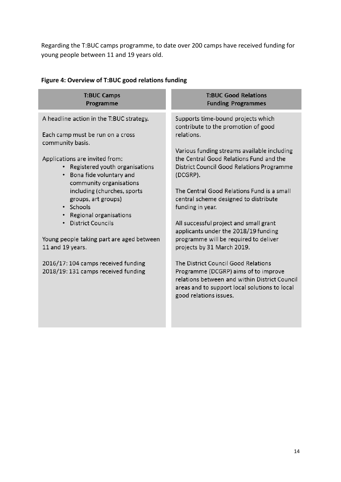Regarding the T:BUC camps programme, to date over 200 camps have received funding for young people between 11 and 19 years old.

| <b>T:BUC Good Relations</b><br><b>Funding Programmes</b>                                                                                                                                                |
|---------------------------------------------------------------------------------------------------------------------------------------------------------------------------------------------------------|
| Supports time-bound projects which<br>contribute to the promotion of good<br>relations.                                                                                                                 |
| Various funding streams available including<br>the Central Good Relations Fund and the<br>District Council Good Relations Programme<br>(DCGRP).                                                         |
| The Central Good Relations Fund is a small<br>central scheme designed to distribute<br>funding in year.                                                                                                 |
| All successful project and small grant<br>applicants under the 2018/19 funding<br>programme will be required to deliver<br>projects by 31 March 2019.                                                   |
| The District Council Good Relations<br>Programme (DCGRP) aims of to improve<br>relations between and within District Council<br>areas and to support local solutions to local<br>good relations issues. |
|                                                                                                                                                                                                         |

# **Figure 4: Overview of T:BUC good relations funding**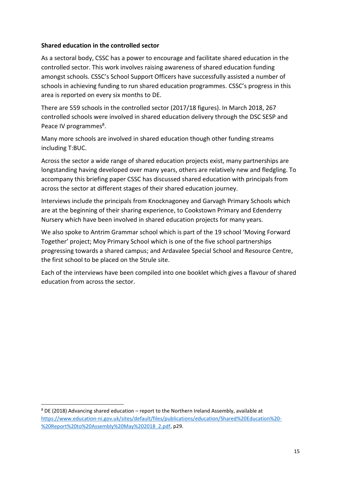#### <span id="page-14-0"></span>**Shared education in the controlled sector**

As a sectoral body, CSSC has a power to encourage and facilitate shared education in the controlled sector. This work involves raising awareness of shared education funding amongst schools. CSSC's School Support Officers have successfully assisted a number of schools in achieving funding to run shared education programmes. CSSC's progress in this area is reported on every six months to DE.

There are 559 schools in the controlled sector (2017/18 figures). In March 2018, 267 controlled schools were involved in shared education delivery through the DSC SESP and Peace IV programmes<sup>8</sup>.

Many more schools are involved in shared education though other funding streams including T:BUC.

Across the sector a wide range of shared education projects exist, many partnerships are longstanding having developed over many years, others are relatively new and fledgling. To accompany this briefing paper CSSC has discussed shared education with principals from across the sector at different stages of their shared education journey.

Interviews include the principals from Knocknagoney and Garvagh Primary Schools which are at the beginning of their sharing experience, to Cookstown Primary and Edenderry Nursery which have been involved in shared education projects for many years.

We also spoke to Antrim Grammar school which is part of the 19 school 'Moving Forward Together' project; Moy Primary School which is one of the five school partnerships progressing towards a shared campus; and Ardavalee Special School and Resource Centre, the first school to be placed on the Strule site.

Each of the interviews have been compiled into one booklet which gives a flavour of shared education from across the sector.

1

<sup>8</sup> DE (2018) Advancing shared education – report to the Northern Ireland Assembly, available at [https://www.education-ni.gov.uk/sites/default/files/publications/education/Shared%20Education%20-](https://www.education-ni.gov.uk/sites/default/files/publications/education/Shared%20Education%20-%20Report%20to%20Assembly%20May%202018_2.pdf) [%20Report%20to%20Assembly%20May%202018\\_2.pdf,](https://www.education-ni.gov.uk/sites/default/files/publications/education/Shared%20Education%20-%20Report%20to%20Assembly%20May%202018_2.pdf) p29.